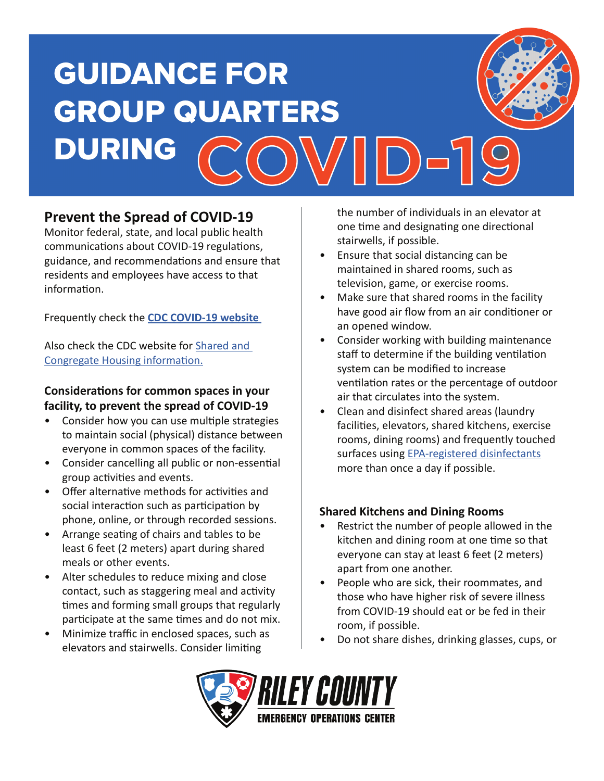

## **Prevent the Spread of COVID-19**

Monitor federal, state, and local public health communications about COVID-19 regulations, guidance, and recommendations and ensure that residents and employees have access to that information.

Frequently check the **CDC COVID-19 website** 

Also check the CDC website for Shared and Congregate Housing information.

#### **Considerations for common spaces in your facility, to prevent the spread of COVID-19**

- Consider how you can use multiple strategies to maintain social (physical) distance between everyone in common spaces of the facility.
- Consider cancelling all public or non-essential group activities and events.
- Offer alternative methods for activities and social interaction such as participation by phone, online, or through recorded sessions.
- Arrange seating of chairs and tables to be least 6 feet (2 meters) apart during shared meals or other events.
- Alter schedules to reduce mixing and close contact, such as staggering meal and activity times and forming small groups that regularly participate at the same times and do not mix.
- Minimize traffic in enclosed spaces, such as elevators and stairwells. Consider limiting

the number of individuals in an elevator at one time and designating one directional stairwells, if possible.

- Ensure that social distancing can be maintained in shared rooms, such as television, game, or exercise rooms.
- Make sure that shared rooms in the facility have good air flow from an air conditioner or an opened window.
- Consider working with building maintenance staff to determine if the building ventilation system can be modified to increase ventilation rates or the percentage of outdoor air that circulates into the system.
- Clean and disinfect shared areas (laundry facilities, elevators, shared kitchens, exercise rooms, dining rooms) and frequently touched surfaces using **EPA-registered** disinfectants more than once a day if possible.

#### **Shared Kitchens and Dining Rooms**

- Restrict the number of people allowed in the kitchen and dining room at one time so that everyone can stay at least 6 feet (2 meters) apart from one another.
- People who are sick, their roommates, and those who have higher risk of severe illness from COVID-19 should eat or be fed in their room, if possible.
- Do not share dishes, drinking glasses, cups, or

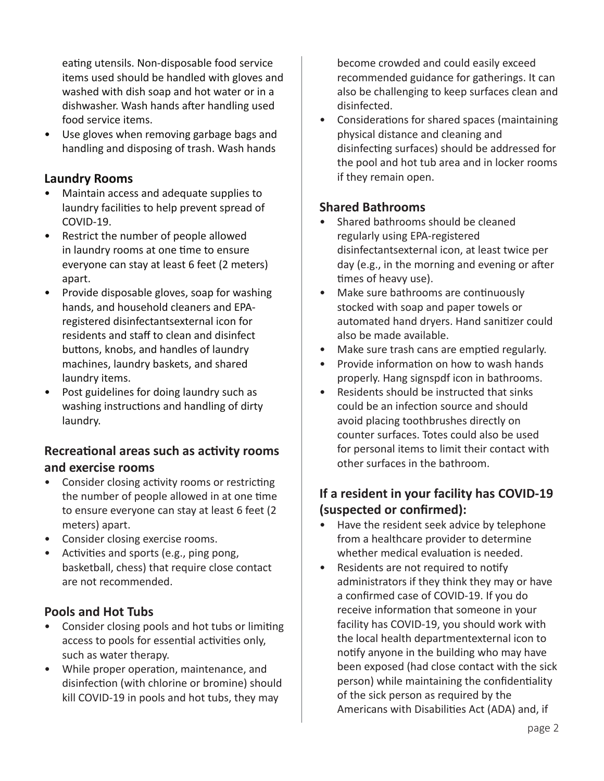eating utensils. Non-disposable food service items used should be handled with gloves and washed with dish soap and hot water or in a dishwasher. Wash hands after handling used food service items.

• Use gloves when removing garbage bags and handling and disposing of trash. Wash hands

### **Laundry Rooms**

- Maintain access and adequate supplies to laundry facilities to help prevent spread of COVID-19.
- Restrict the number of people allowed in laundry rooms at one time to ensure everyone can stay at least 6 feet (2 meters) apart.
- Provide disposable gloves, soap for washing hands, and household cleaners and EPAregistered disinfectantsexternal icon for residents and staff to clean and disinfect buttons, knobs, and handles of laundry machines, laundry baskets, and shared laundry items.
- Post guidelines for doing laundry such as washing instructions and handling of dirty laundry.

#### **Recreational areas such as activity rooms and exercise rooms**

- Consider closing activity rooms or restricting the number of people allowed in at one time to ensure everyone can stay at least 6 feet (2 meters) apart.
- Consider closing exercise rooms.
- Activities and sports (e.g., ping pong, basketball, chess) that require close contact are not recommended.

#### **Pools and Hot Tubs**

- Consider closing pools and hot tubs or limiting access to pools for essential activities only, such as water therapy.
- While proper operation, maintenance, and disinfection (with chlorine or bromine) should kill COVID-19 in pools and hot tubs, they may

become crowded and could easily exceed recommended guidance for gatherings. It can also be challenging to keep surfaces clean and disinfected.

• Considerations for shared spaces (maintaining physical distance and cleaning and disinfecting surfaces) should be addressed for the pool and hot tub area and in locker rooms if they remain open.

#### **Shared Bathrooms**

- Shared bathrooms should be cleaned regularly using EPA-registered disinfectantsexternal icon, at least twice per day (e.g., in the morning and evening or after times of heavy use).
- Make sure bathrooms are continuously stocked with soap and paper towels or automated hand dryers. Hand sanitizer could also be made available.
- Make sure trash cans are emptied regularly.
- Provide information on how to wash hands properly. Hang signspdf icon in bathrooms.
- Residents should be instructed that sinks could be an infection source and should avoid placing toothbrushes directly on counter surfaces. Totes could also be used for personal items to limit their contact with other surfaces in the bathroom.

## **If a resident in your facility has COVID-19 (suspected or confirmed):**

- Have the resident seek advice by telephone from a healthcare provider to determine whether medical evaluation is needed.
- Residents are not required to notify administrators if they think they may or have a confirmed case of COVID-19. If you do receive information that someone in your facility has COVID-19, you should work with the local health departmentexternal icon to notify anyone in the building who may have been exposed (had close contact with the sick person) while maintaining the confidentiality of the sick person as required by the Americans with Disabilities Act (ADA) and, if